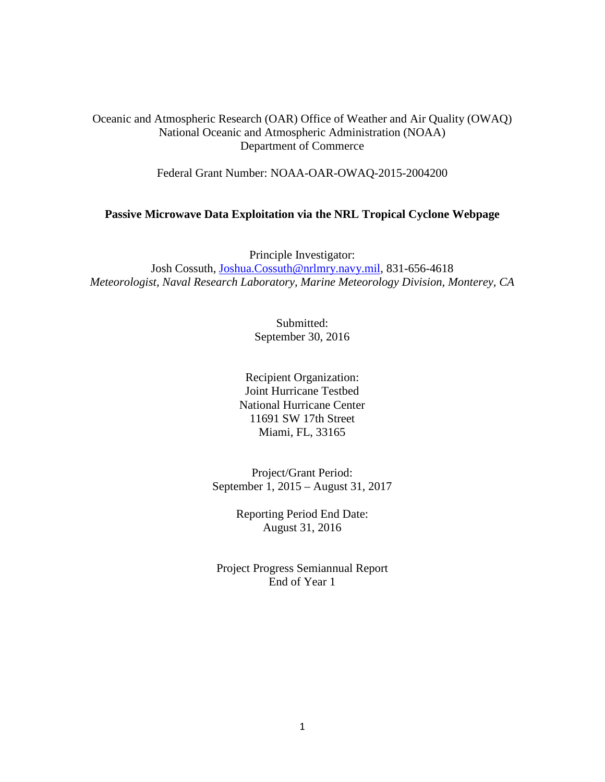Oceanic and Atmospheric Research (OAR) Office of Weather and Air Quality (OWAQ) National Oceanic and Atmospheric Administration (NOAA) Department of Commerce

Federal Grant Number: NOAA-OAR-OWAQ-2015-2004200

#### **Passive Microwave Data Exploitation via the NRL Tropical Cyclone Webpage**

Principle Investigator: Josh Cossuth, [Joshua.Cossuth@nrlmry.navy.mil,](mailto:Joshua.Cossuth@nrlmry.navy.mil) 831-656-4618 *Meteorologist, Naval Research Laboratory, Marine Meteorology Division, Monterey, CA*

> Submitted: September 30, 2016

Recipient Organization: Joint Hurricane Testbed National Hurricane Center 11691 SW 17th Street Miami, FL, 33165

Project/Grant Period: September 1, 2015 – August 31, 2017

> Reporting Period End Date: August 31, 2016

Project Progress Semiannual Report End of Year 1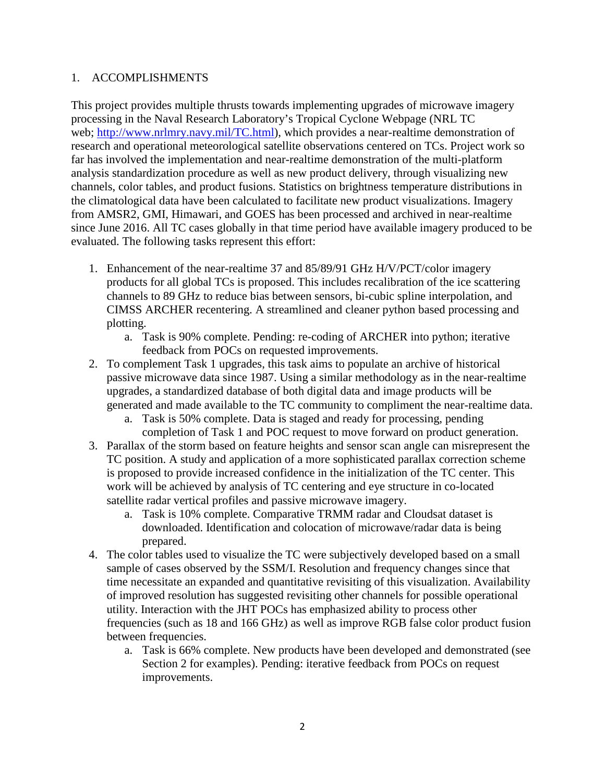#### 1. ACCOMPLISHMENTS

This project provides multiple thrusts towards implementing upgrades of microwave imagery processing in the Naval Research Laboratory's Tropical Cyclone Webpage (NRL TC web; [http://www.nrlmry.navy.mil/TC.html\)](http://www.nrlmry.navy.mil/TC.html), which provides a near-realtime demonstration of research and operational meteorological satellite observations centered on TCs. Project work so far has involved the implementation and near-realtime demonstration of the multi-platform analysis standardization procedure as well as new product delivery, through visualizing new channels, color tables, and product fusions. Statistics on brightness temperature distributions in the climatological data have been calculated to facilitate new product visualizations. Imagery from AMSR2, GMI, Himawari, and GOES has been processed and archived in near-realtime since June 2016. All TC cases globally in that time period have available imagery produced to be evaluated. The following tasks represent this effort:

- 1. Enhancement of the near-realtime 37 and 85/89/91 GHz H/V/PCT/color imagery products for all global TCs is proposed. This includes recalibration of the ice scattering channels to 89 GHz to reduce bias between sensors, bi-cubic spline interpolation, and CIMSS ARCHER recentering. A streamlined and cleaner python based processing and plotting.
	- a. Task is 90% complete. Pending: re-coding of ARCHER into python; iterative feedback from POCs on requested improvements.
- 2. To complement Task 1 upgrades, this task aims to populate an archive of historical passive microwave data since 1987. Using a similar methodology as in the near-realtime upgrades, a standardized database of both digital data and image products will be generated and made available to the TC community to compliment the near-realtime data.
	- a. Task is 50% complete. Data is staged and ready for processing, pending completion of Task 1 and POC request to move forward on product generation.
- 3. Parallax of the storm based on feature heights and sensor scan angle can misrepresent the TC position. A study and application of a more sophisticated parallax correction scheme is proposed to provide increased confidence in the initialization of the TC center. This work will be achieved by analysis of TC centering and eye structure in co-located satellite radar vertical profiles and passive microwave imagery.
	- a. Task is 10% complete. Comparative TRMM radar and Cloudsat dataset is downloaded. Identification and colocation of microwave/radar data is being prepared.
- 4. The color tables used to visualize the TC were subjectively developed based on a small sample of cases observed by the SSM/I. Resolution and frequency changes since that time necessitate an expanded and quantitative revisiting of this visualization. Availability of improved resolution has suggested revisiting other channels for possible operational utility. Interaction with the JHT POCs has emphasized ability to process other frequencies (such as 18 and 166 GHz) as well as improve RGB false color product fusion between frequencies.
	- a. Task is 66% complete. New products have been developed and demonstrated (see Section 2 for examples). Pending: iterative feedback from POCs on request improvements.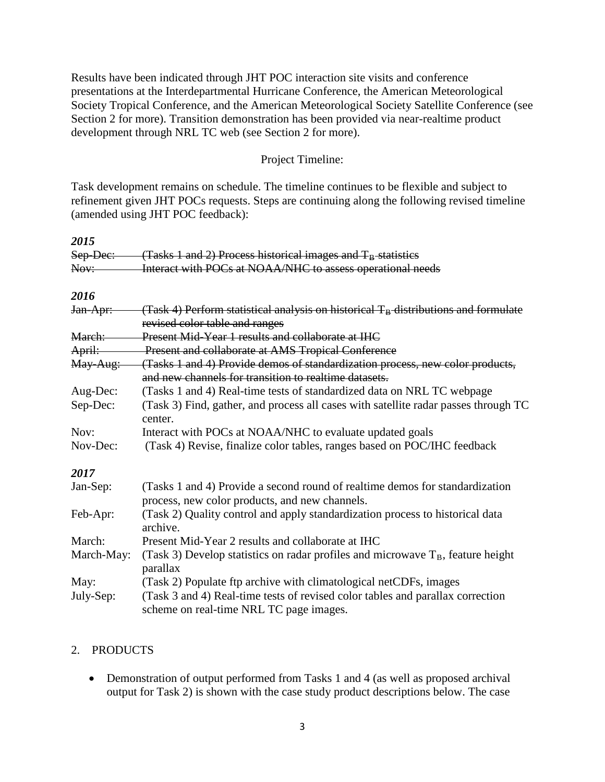Results have been indicated through JHT POC interaction site visits and conference presentations at the Interdepartmental Hurricane Conference, the American Meteorological Society Tropical Conference, and the American Meteorological Society Satellite Conference (see Section 2 for more). Transition demonstration has been provided via near-realtime product development through NRL TC web (see Section 2 for more).

#### Project Timeline:

Task development remains on schedule. The timeline continues to be flexible and subject to refinement given JHT POCs requests. Steps are continuing along the following revised timeline (amended using JHT POC feedback):

| 2015       |                                                                                                                                        |  |  |
|------------|----------------------------------------------------------------------------------------------------------------------------------------|--|--|
| Sep-Dec:   | (Tasks 1 and 2) Process historical images and T <sub>B</sub> statistics                                                                |  |  |
| Nov:       | Interact with POCs at NOAA/NHC to assess operational needs                                                                             |  |  |
| 2016       |                                                                                                                                        |  |  |
| Jan-Apr:   | (Task 4) Perform statistical analysis on historical $TB$ distributions and formulate<br>revised color table and ranges                 |  |  |
| March:     | Present Mid-Year 1 results and collaborate at IHC                                                                                      |  |  |
| April:     | Present and collaborate at AMS Tropical Conference                                                                                     |  |  |
| May-Aug:   | (Tasks 1 and 4) Provide demos of standardization process, new color products,<br>and new channels for transition to realtime datasets. |  |  |
| Aug-Dec:   | (Tasks 1 and 4) Real-time tests of standardized data on NRL TC webpage                                                                 |  |  |
| Sep-Dec:   | (Task 3) Find, gather, and process all cases with satellite radar passes through TC<br>center.                                         |  |  |
| Nov:       | Interact with POCs at NOAA/NHC to evaluate updated goals                                                                               |  |  |
| Nov-Dec:   | (Task 4) Revise, finalize color tables, ranges based on POC/IHC feedback                                                               |  |  |
| 2017       |                                                                                                                                        |  |  |
| Jan-Sep:   | (Tasks 1 and 4) Provide a second round of realtime demos for standardization<br>process, new color products, and new channels.         |  |  |
| Feb-Apr:   | (Task 2) Quality control and apply standardization process to historical data<br>archive.                                              |  |  |
| March:     | Present Mid-Year 2 results and collaborate at IHC                                                                                      |  |  |
| March-May: | (Task 3) Develop statistics on radar profiles and microwave $T_B$ , feature height<br>parallax                                         |  |  |
| May:       | (Task 2) Populate ftp archive with climatological netCDFs, images                                                                      |  |  |
| July-Sep:  | (Task 3 and 4) Real-time tests of revised color tables and parallax correction<br>scheme on real-time NRL TC page images.              |  |  |

# 2. PRODUCTS

• Demonstration of output performed from Tasks 1 and 4 (as well as proposed archival output for Task 2) is shown with the case study product descriptions below. The case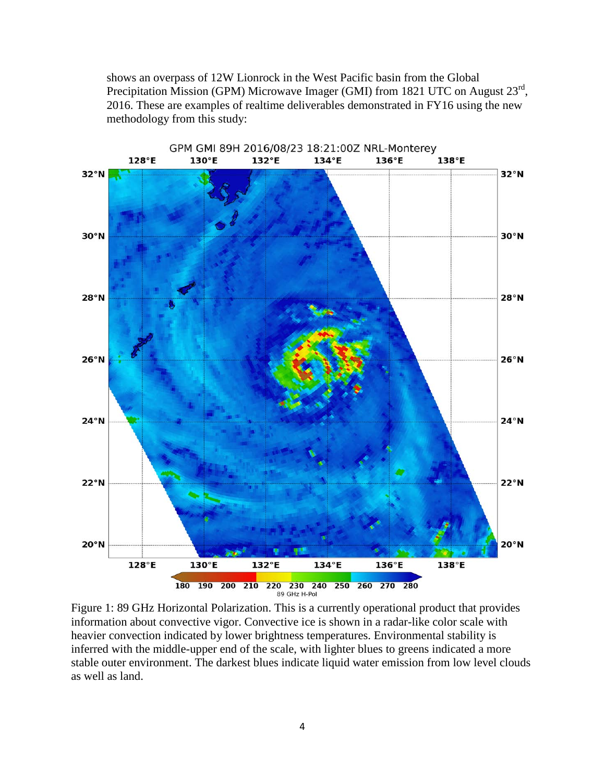shows an overpass of 12W Lionrock in the West Pacific basin from the Global Precipitation Mission (GPM) Microwave Imager (GMI) from 1821 UTC on August 23<sup>rd</sup>, 2016. These are examples of realtime deliverables demonstrated in FY16 using the new methodology from this study:



Figure 1: 89 GHz Horizontal Polarization. This is a currently operational product that provides information about convective vigor. Convective ice is shown in a radar-like color scale with heavier convection indicated by lower brightness temperatures. Environmental stability is inferred with the middle-upper end of the scale, with lighter blues to greens indicated a more stable outer environment. The darkest blues indicate liquid water emission from low level clouds as well as land.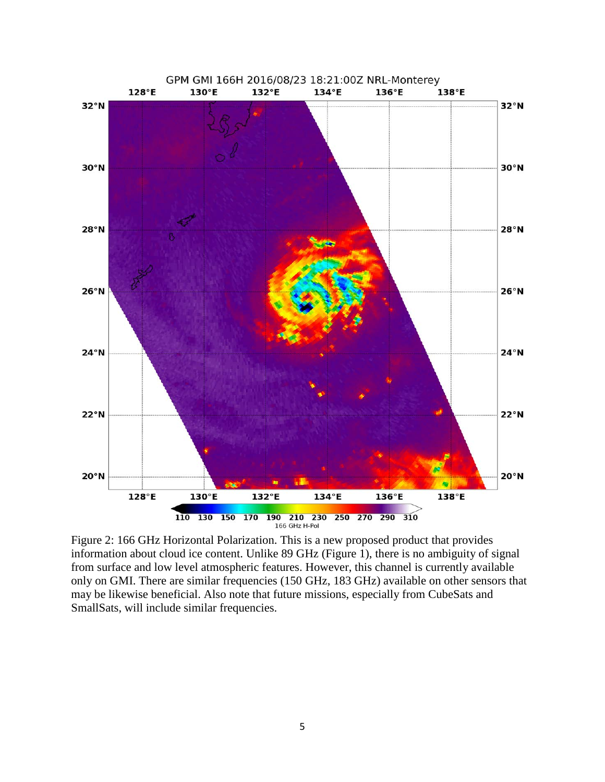

Figure 2: 166 GHz Horizontal Polarization. This is a new proposed product that provides information about cloud ice content. Unlike 89 GHz (Figure 1), there is no ambiguity of signal from surface and low level atmospheric features. However, this channel is currently available only on GMI. There are similar frequencies (150 GHz, 183 GHz) available on other sensors that may be likewise beneficial. Also note that future missions, especially from CubeSats and SmallSats, will include similar frequencies.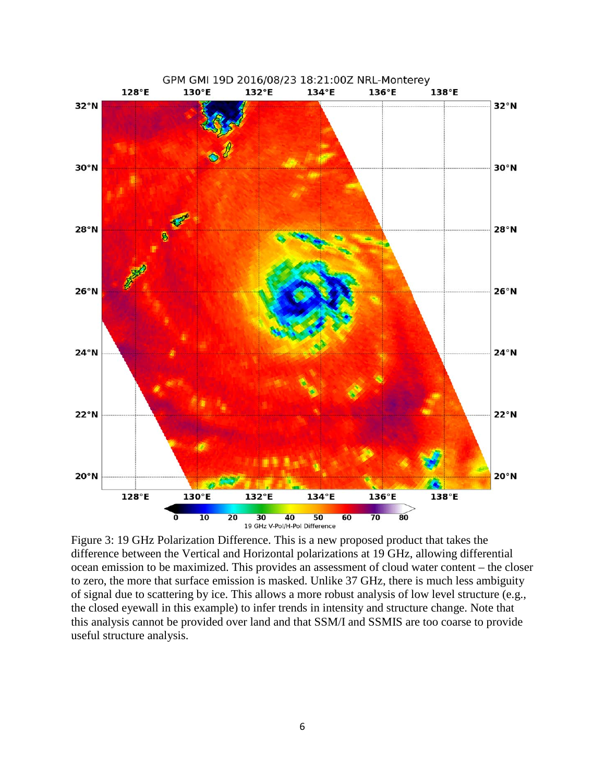

Figure 3: 19 GHz Polarization Difference. This is a new proposed product that takes the difference between the Vertical and Horizontal polarizations at 19 GHz, allowing differential ocean emission to be maximized. This provides an assessment of cloud water content – the closer to zero, the more that surface emission is masked. Unlike 37 GHz, there is much less ambiguity of signal due to scattering by ice. This allows a more robust analysis of low level structure (e.g., the closed eyewall in this example) to infer trends in intensity and structure change. Note that this analysis cannot be provided over land and that SSM/I and SSMIS are too coarse to provide useful structure analysis.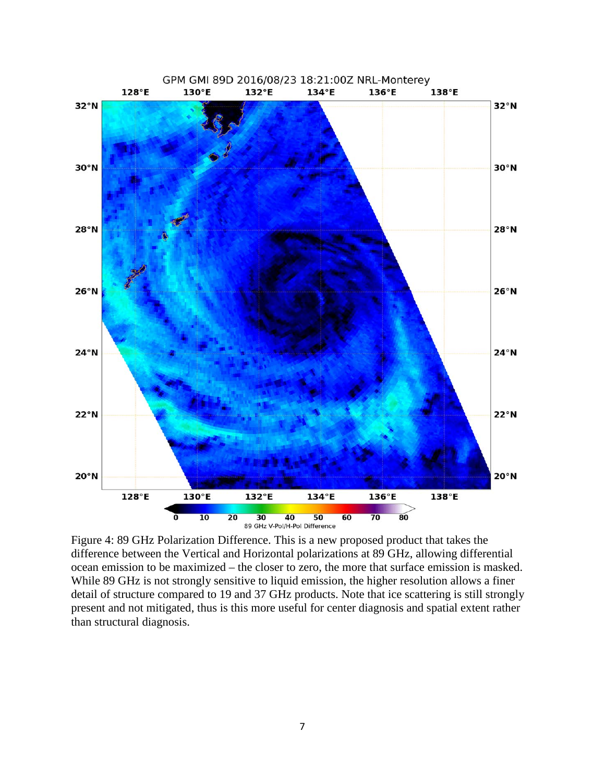

Figure 4: 89 GHz Polarization Difference. This is a new proposed product that takes the difference between the Vertical and Horizontal polarizations at 89 GHz, allowing differential ocean emission to be maximized – the closer to zero, the more that surface emission is masked. While 89 GHz is not strongly sensitive to liquid emission, the higher resolution allows a finer detail of structure compared to 19 and 37 GHz products. Note that ice scattering is still strongly present and not mitigated, thus is this more useful for center diagnosis and spatial extent rather than structural diagnosis.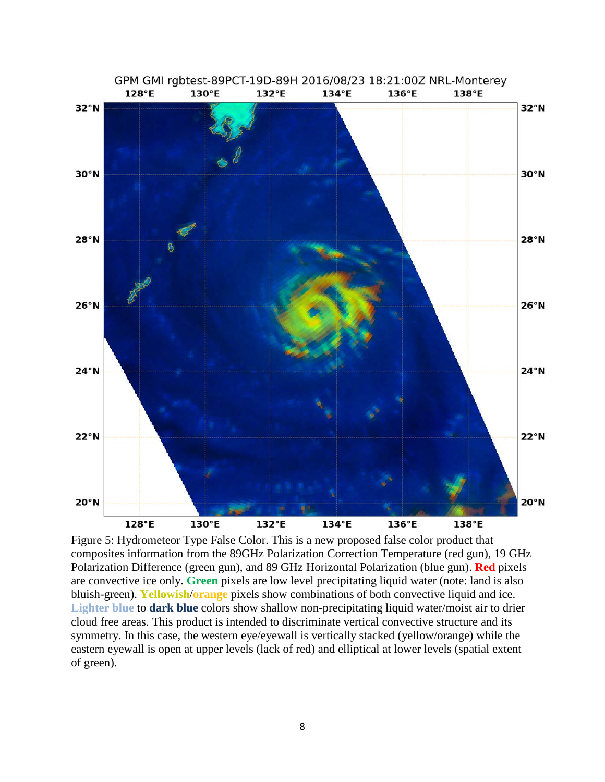

Figure 5: Hydrometeor Type False Color. This is a new proposed false color product that composites information from the 89GHz Polarization Correction Temperature (red gun), 19 GHz Polarization Difference (green gun), and 89 GHz Horizontal Polarization (blue gun). **Red** pixels are convective ice only. **Green** pixels are low level precipitating liquid water (note: land is also bluish-green). **Yellowish**/**orange** pixels show combinations of both convective liquid and ice. **Lighter blue** to **dark blue** colors show shallow non-precipitating liquid water/moist air to drier cloud free areas. This product is intended to discriminate vertical convective structure and its symmetry. In this case, the western eye/eyewall is vertically stacked (yellow/orange) while the eastern eyewall is open at upper levels (lack of red) and elliptical at lower levels (spatial extent of green).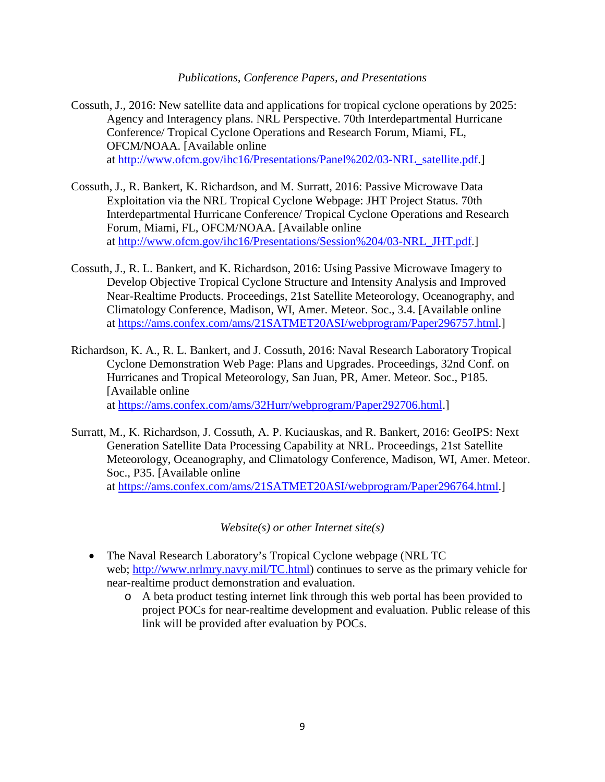*Publications, Conference Papers, and Presentations*

- Cossuth, J., 2016: New satellite data and applications for tropical cyclone operations by 2025: Agency and Interagency plans. NRL Perspective. 70th Interdepartmental Hurricane Conference/ Tropical Cyclone Operations and Research Forum, Miami, FL, OFCM/NOAA. [Available online at [http://www.ofcm.gov/ihc16/Presentations/Panel%202/03-NRL\\_satellite.pdf.](http://www.ofcm.gov/ihc16/Presentations/Panel%202/03-NRL_satellite.pdf)]
- Cossuth, J., R. Bankert, K. Richardson, and M. Surratt, 2016: Passive Microwave Data Exploitation via the NRL Tropical Cyclone Webpage: JHT Project Status. 70th Interdepartmental Hurricane Conference/ Tropical Cyclone Operations and Research Forum, Miami, FL, OFCM/NOAA. [Available online at [http://www.ofcm.gov/ihc16/Presentations/Session%204/03-NRL\\_JHT.pdf.](http://www.ofcm.gov/ihc16/Presentations/Session%204/03-NRL_JHT.pdf)]
- Cossuth, J., R. L. Bankert, and K. Richardson, 2016: Using Passive Microwave Imagery to Develop Objective Tropical Cyclone Structure and Intensity Analysis and Improved Near-Realtime Products. Proceedings, 21st Satellite Meteorology, Oceanography, and Climatology Conference, Madison, WI, Amer. Meteor. Soc., 3.4. [Available online at [https://ams.confex.com/ams/21SATMET20ASI/webprogram/Paper296757.html.](https://ams.confex.com/ams/21SATMET20ASI/webprogram/Paper296757.html)]
- Richardson, K. A., R. L. Bankert, and J. Cossuth, 2016: Naval Research Laboratory Tropical Cyclone Demonstration Web Page: Plans and Upgrades. Proceedings, 32nd Conf. on Hurricanes and Tropical Meteorology, San Juan, PR, Amer. Meteor. Soc., P185. [Available online at [https://ams.confex.com/ams/32Hurr/webprogram/Paper292706.html.](https://ams.confex.com/ams/32Hurr/webprogram/Paper292706.html)]
- Surratt, M., K. Richardson, J. Cossuth, A. P. Kuciauskas, and R. Bankert, 2016: GeoIPS: Next Generation Satellite Data Processing Capability at NRL. Proceedings, 21st Satellite Meteorology, Oceanography, and Climatology Conference, Madison, WI, Amer. Meteor. Soc., P35. [Available online at [https://ams.confex.com/ams/21SATMET20ASI/webprogram/Paper296764.html.](https://ams.confex.com/ams/21SATMET20ASI/webprogram/Paper296764.html)]

*Website(s) or other Internet site(s)*

- The Naval Research Laboratory's Tropical Cyclone webpage (NRL TC) web; [http://www.nrlmry.navy.mil/TC.html\)](http://www.nrlmry.navy.mil/TC.html) continues to serve as the primary vehicle for near-realtime product demonstration and evaluation.
	- o A beta product testing internet link through this web portal has been provided to project POCs for near-realtime development and evaluation. Public release of this link will be provided after evaluation by POCs.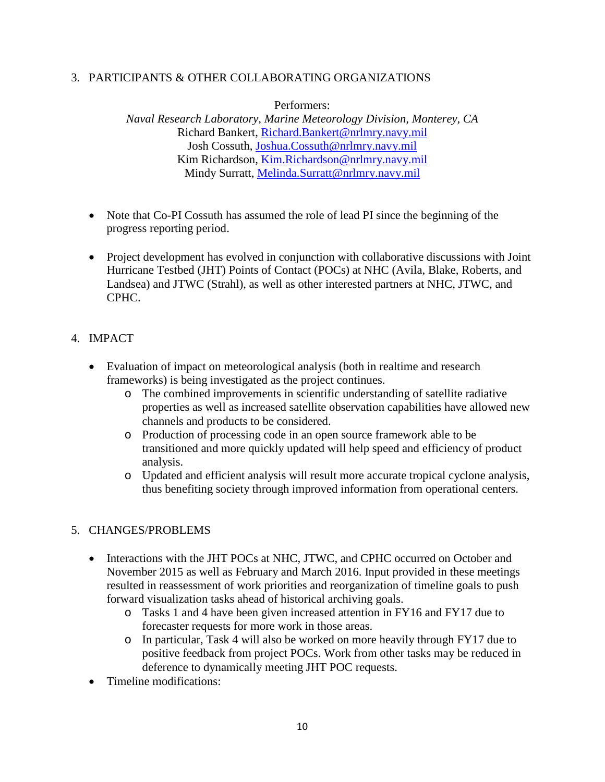#### 3. PARTICIPANTS & OTHER COLLABORATING ORGANIZATIONS

Performers:

*Naval Research Laboratory, Marine Meteorology Division, Monterey, CA* Richard Bankert, [Richard.Bankert@nrlmry.navy.mil](mailto:Richard.Bankert@nrlmry.navy.mil) Josh Cossuth, [Joshua.Cossuth@nrlmry.navy.mil](mailto:Joshua.Cossuth@nrlmry.navy.mil) Kim Richardson, [Kim.Richardson@nrlmry.navy.mil](mailto:Kim.Richardson@nrlmry.navy.mil) Mindy Surratt, [Melinda.Surratt@nrlmry.navy.mil](mailto:Melinda.Surratt@nrlmry.navy.mil)

- Note that Co-PI Cossuth has assumed the role of lead PI since the beginning of the progress reporting period.
- Project development has evolved in conjunction with collaborative discussions with Joint Hurricane Testbed (JHT) Points of Contact (POCs) at NHC (Avila, Blake, Roberts, and Landsea) and JTWC (Strahl), as well as other interested partners at NHC, JTWC, and CPHC.

#### 4. IMPACT

- Evaluation of impact on meteorological analysis (both in realtime and research frameworks) is being investigated as the project continues.
	- o The combined improvements in scientific understanding of satellite radiative properties as well as increased satellite observation capabilities have allowed new channels and products to be considered.
	- o Production of processing code in an open source framework able to be transitioned and more quickly updated will help speed and efficiency of product analysis.
	- o Updated and efficient analysis will result more accurate tropical cyclone analysis, thus benefiting society through improved information from operational centers.

# 5. CHANGES/PROBLEMS

- Interactions with the JHT POCs at NHC, JTWC, and CPHC occurred on October and November 2015 as well as February and March 2016. Input provided in these meetings resulted in reassessment of work priorities and reorganization of timeline goals to push forward visualization tasks ahead of historical archiving goals.
	- o Tasks 1 and 4 have been given increased attention in FY16 and FY17 due to forecaster requests for more work in those areas.
	- o In particular, Task 4 will also be worked on more heavily through FY17 due to positive feedback from project POCs. Work from other tasks may be reduced in deference to dynamically meeting JHT POC requests.
- Timeline modifications: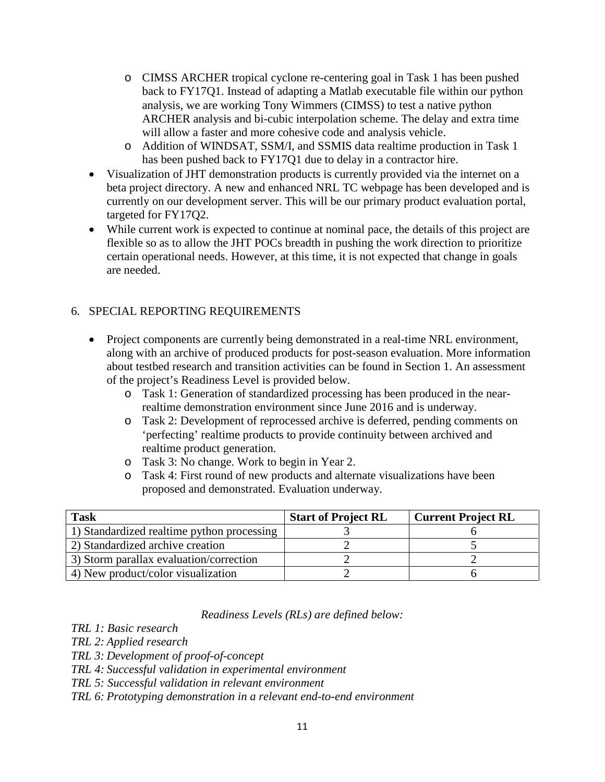- o CIMSS ARCHER tropical cyclone re-centering goal in Task 1 has been pushed back to FY17Q1. Instead of adapting a Matlab executable file within our python analysis, we are working Tony Wimmers (CIMSS) to test a native python ARCHER analysis and bi-cubic interpolation scheme. The delay and extra time will allow a faster and more cohesive code and analysis vehicle.
- o Addition of WINDSAT, SSM/I, and SSMIS data realtime production in Task 1 has been pushed back to FY17Q1 due to delay in a contractor hire.
- Visualization of JHT demonstration products is currently provided via the internet on a beta project directory. A new and enhanced NRL TC webpage has been developed and is currently on our development server. This will be our primary product evaluation portal, targeted for FY17Q2.
- While current work is expected to continue at nominal pace, the details of this project are flexible so as to allow the JHT POCs breadth in pushing the work direction to prioritize certain operational needs. However, at this time, it is not expected that change in goals are needed.

# 6. SPECIAL REPORTING REQUIREMENTS

- Project components are currently being demonstrated in a real-time NRL environment, along with an archive of produced products for post-season evaluation. More information about testbed research and transition activities can be found in Section 1. An assessment of the project's Readiness Level is provided below.
	- o Task 1: Generation of standardized processing has been produced in the nearrealtime demonstration environment since June 2016 and is underway.
	- o Task 2: Development of reprocessed archive is deferred, pending comments on 'perfecting' realtime products to provide continuity between archived and realtime product generation.
	- o Task 3: No change. Work to begin in Year 2.
	- o Task 4: First round of new products and alternate visualizations have been proposed and demonstrated. Evaluation underway.

| <b>Task</b>                                | <b>Start of Project RL</b> | <b>Current Project RL</b> |
|--------------------------------------------|----------------------------|---------------------------|
| 1) Standardized realtime python processing |                            |                           |
| 2) Standardized archive creation           |                            |                           |
| 3) Storm parallax evaluation/correction    |                            |                           |
| 4) New product/color visualization         |                            |                           |

#### *Readiness Levels (RLs) are defined below:*

*TRL 1: Basic research*

*TRL 2: Applied research*

*TRL 3: Development of proof-of-concept*

- *TRL 4: Successful validation in experimental environment*
- *TRL 5: Successful validation in relevant environment*

*TRL 6: Prototyping demonstration in a relevant end-to-end environment*